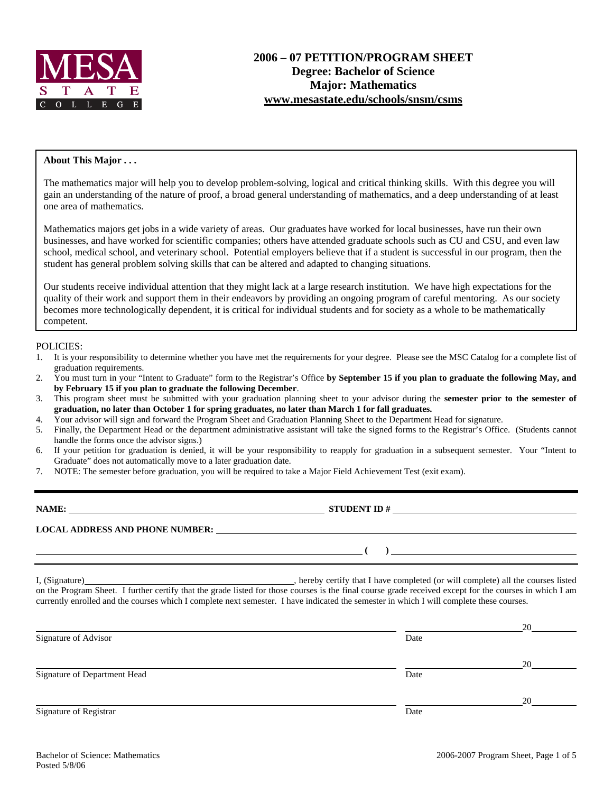

#### **About This Major . . .**

The mathematics major will help you to develop problem-solving, logical and critical thinking skills. With this degree you will gain an understanding of the nature of proof, a broad general understanding of mathematics, and a deep understanding of at least one area of mathematics.

Mathematics majors get jobs in a wide variety of areas. Our graduates have worked for local businesses, have run their own businesses, and have worked for scientific companies; others have attended graduate schools such as CU and CSU, and even law school, medical school, and veterinary school. Potential employers believe that if a student is successful in our program, then the student has general problem solving skills that can be altered and adapted to changing situations.

Our students receive individual attention that they might lack at a large research institution. We have high expectations for the quality of their work and support them in their endeavors by providing an ongoing program of careful mentoring. As our society becomes more technologically dependent, it is critical for individual students and for society as a whole to be mathematically competent.

#### POLICIES:

- 1. It is your responsibility to determine whether you have met the requirements for your degree. Please see the MSC Catalog for a complete list of graduation requirements.
- 2. You must turn in your "Intent to Graduate" form to the Registrar's Office **by September 15 if you plan to graduate the following May, and by February 15 if you plan to graduate the following December**.
- 3. This program sheet must be submitted with your graduation planning sheet to your advisor during the **semester prior to the semester of graduation, no later than October 1 for spring graduates, no later than March 1 for fall graduates.**
- 4. Your advisor will sign and forward the Program Sheet and Graduation Planning Sheet to the Department Head for signature.
- 5. Finally, the Department Head or the department administrative assistant will take the signed forms to the Registrar's Office. (Students cannot handle the forms once the advisor signs.)
- 6. If your petition for graduation is denied, it will be your responsibility to reapply for graduation in a subsequent semester. Your "Intent to Graduate" does not automatically move to a later graduation date.
- 7. NOTE: The semester before graduation, you will be required to take a Major Field Achievement Test (exit exam).

| NAME:                                  | <b>STUDENT ID#</b> |
|----------------------------------------|--------------------|
| <b>LOCAL ADDRESS AND PHONE NUMBER:</b> |                    |
|                                        |                    |

I, (Signature) , hereby certify that I have completed (or will complete) all the courses listed on the Program Sheet. I further certify that the grade listed for those courses is the final course grade received except for the courses in which I am currently enrolled and the courses which I complete next semester. I have indicated the semester in which I will complete these courses.

|                              |      | 20 |
|------------------------------|------|----|
| Signature of Advisor         | Date |    |
|                              |      | 20 |
| Signature of Department Head | Date |    |
|                              |      | 20 |
| Signature of Registrar       | Date |    |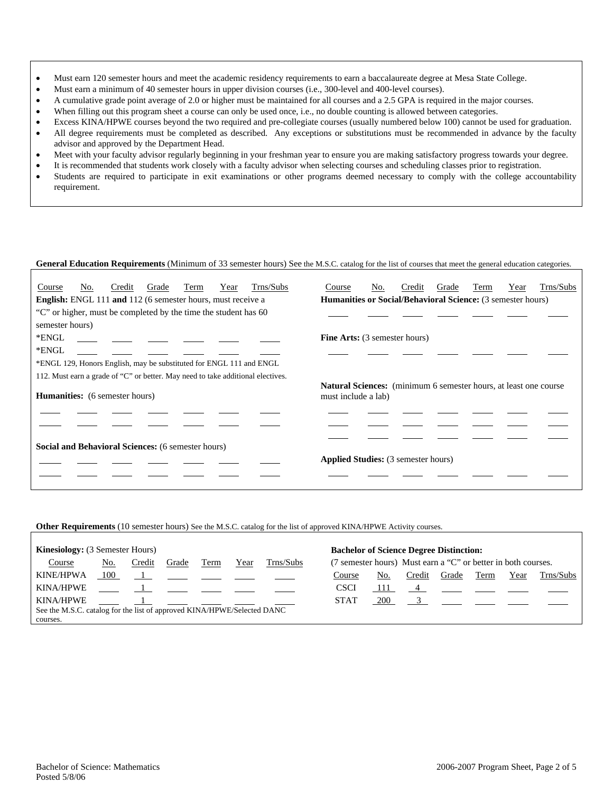- Must earn 120 semester hours and meet the academic residency requirements to earn a baccalaureate degree at Mesa State College.
- Must earn a minimum of 40 semester hours in upper division courses (i.e., 300-level and 400-level courses).
- A cumulative grade point average of 2.0 or higher must be maintained for all courses and a 2.5 GPA is required in the major courses.
- When filling out this program sheet a course can only be used once, i.e., no double counting is allowed between categories.
- Excess KINA/HPWE courses beyond the two required and pre-collegiate courses (usually numbered below 100) cannot be used for graduation.
- All degree requirements must be completed as described. Any exceptions or substitutions must be recommended in advance by the faculty advisor and approved by the Department Head.
- Meet with your faculty advisor regularly beginning in your freshman year to ensure you are making satisfactory progress towards your degree.
- It is recommended that students work closely with a faculty advisor when selecting courses and scheduling classes prior to registration.
- Students are required to participate in exit examinations or other programs deemed necessary to comply with the college accountability requirement.

### **General Education Requirements** (Minimum of 33 semester hours) See the M.S.C. catalog for the list of courses that meet the general education categories.

| Trns/Subs<br>No.<br>Grade<br>Term<br>Year<br>Course<br>Credit                   | Trns/Subs<br>No.<br>Grade<br>Year<br>Course<br>Credit<br>Term                                   |  |  |  |  |  |  |
|---------------------------------------------------------------------------------|-------------------------------------------------------------------------------------------------|--|--|--|--|--|--|
| <b>English:</b> ENGL 111 and 112 (6 semester hours, must receive a              | Humanities or Social/Behavioral Science: (3 semester hours)                                     |  |  |  |  |  |  |
| "C" or higher, must be completed by the time the student has 60                 |                                                                                                 |  |  |  |  |  |  |
| semester hours)                                                                 |                                                                                                 |  |  |  |  |  |  |
| *ENGL                                                                           | <b>Fine Arts:</b> (3 semester hours)                                                            |  |  |  |  |  |  |
| *ENGL                                                                           |                                                                                                 |  |  |  |  |  |  |
| *ENGL 129, Honors English, may be substituted for ENGL 111 and ENGL             |                                                                                                 |  |  |  |  |  |  |
| 112. Must earn a grade of "C" or better. May need to take additional electives. |                                                                                                 |  |  |  |  |  |  |
| <b>Humanities:</b> (6 semester hours)                                           | <b>Natural Sciences:</b> (minimum 6 semester hours, at least one course)<br>must include a lab) |  |  |  |  |  |  |
|                                                                                 |                                                                                                 |  |  |  |  |  |  |
|                                                                                 |                                                                                                 |  |  |  |  |  |  |
| Social and Behavioral Sciences: (6 semester hours)                              |                                                                                                 |  |  |  |  |  |  |
|                                                                                 | <b>Applied Studies:</b> (3 semester hours)                                                      |  |  |  |  |  |  |
|                                                                                 |                                                                                                 |  |  |  |  |  |  |
|                                                                                 |                                                                                                 |  |  |  |  |  |  |

### **Other Requirements** (10 semester hours) See the M.S.C. catalog for the list of approved KINA/HPWE Activity courses.

| <b>Kinesiology:</b> (3 Semester Hours)                                  |       |        |       |      |      | <b>Bachelor of Science Degree Distinction:</b> |                                                               |            |        |       |      |      |           |
|-------------------------------------------------------------------------|-------|--------|-------|------|------|------------------------------------------------|---------------------------------------------------------------|------------|--------|-------|------|------|-----------|
| Course                                                                  | No.   | Credit | Grade | Term | Year | Trns/Subs                                      | (7 semester hours) Must earn a "C" or better in both courses. |            |        |       |      |      |           |
| <b>KINE/HPWA</b>                                                        | - 100 |        |       |      |      |                                                | Course                                                        | No.        | Credit | Grade | Term | Year | Trns/Subs |
| <b>KINA/HPWE</b>                                                        |       |        |       |      |      |                                                | CSCI                                                          | 111        |        |       |      |      |           |
| <b>KINA/HPWE</b>                                                        |       |        |       |      |      |                                                | <b>STAT</b>                                                   | <b>200</b> |        |       |      |      |           |
| See the M.S.C. catalog for the list of approved KINA/HPWE/Selected DANC |       |        |       |      |      |                                                |                                                               |            |        |       |      |      |           |
| courses.                                                                |       |        |       |      |      |                                                |                                                               |            |        |       |      |      |           |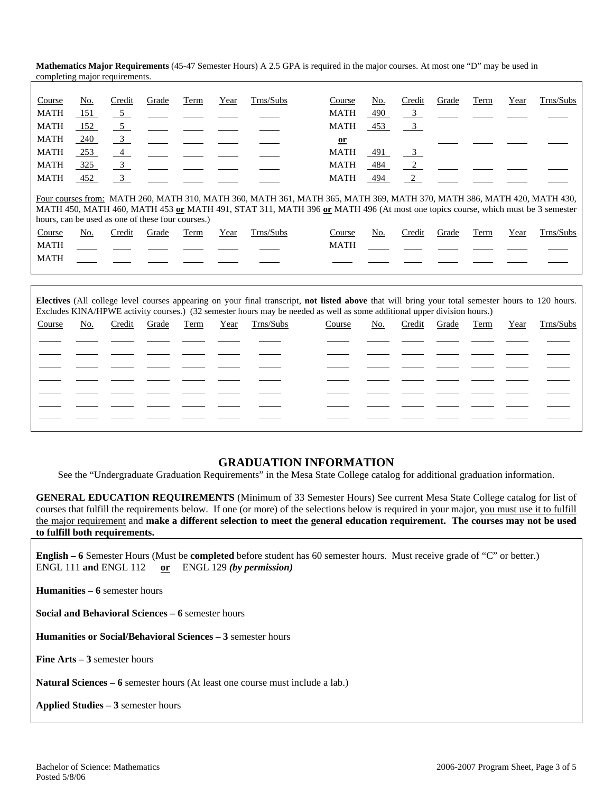|             |     | completing major requirements.                    |       |      |      |                                                                                                                                                                                                                                                         |              |     |                         |       |      |      |           |
|-------------|-----|---------------------------------------------------|-------|------|------|---------------------------------------------------------------------------------------------------------------------------------------------------------------------------------------------------------------------------------------------------------|--------------|-----|-------------------------|-------|------|------|-----------|
|             |     |                                                   |       |      |      |                                                                                                                                                                                                                                                         |              |     |                         |       |      |      |           |
| Course      | No. | Credit                                            | Grade | Term | Year | Trns/Subs                                                                                                                                                                                                                                               | Course       | No. | Credit                  | Grade | Term | Year | Trns/Subs |
| <b>MATH</b> | 151 | $-5$                                              |       |      |      |                                                                                                                                                                                                                                                         | <b>MATH</b>  | 490 | $\overline{\mathbf{3}}$ |       |      |      |           |
| <b>MATH</b> | 152 | $5\overline{)}$                                   |       |      |      |                                                                                                                                                                                                                                                         | <b>MATH</b>  | 453 | $\overline{\mathbf{3}}$ |       |      |      |           |
| <b>MATH</b> | 240 | $\frac{3}{2}$                                     |       |      |      |                                                                                                                                                                                                                                                         | $\mathbf{a}$ |     |                         |       |      |      |           |
| <b>MATH</b> | 253 | $\overline{4}$                                    |       |      |      |                                                                                                                                                                                                                                                         | <b>MATH</b>  | 491 | $\frac{3}{2}$           |       |      |      |           |
| <b>MATH</b> | 325 | $\overline{\phantom{0}3}$                         |       |      |      |                                                                                                                                                                                                                                                         | <b>MATH</b>  | 484 |                         |       |      |      |           |
| <b>MATH</b> | 452 | $\overline{3}$                                    |       |      |      |                                                                                                                                                                                                                                                         | MATH         | 494 | 2                       |       |      |      |           |
|             |     | hours, can be used as one of these four courses.) |       |      |      | Four courses from: MATH 260, MATH 310, MATH 360, MATH 361, MATH 365, MATH 369, MATH 370, MATH 386, MATH 420, MATH 430,<br>MATH 450, MATH 460, MATH 453 or MATH 491, STAT 311, MATH 396 or MATH 496 (At most one topics course, which must be 3 semester |              |     |                         |       |      |      |           |
| Course      | No. | Credit                                            | Grade | Term | Year | Trns/Subs                                                                                                                                                                                                                                               | Course       | No. | Credit                  | Grade | Term | Year | Trns/Subs |
| <b>MATH</b> |     |                                                   |       |      |      |                                                                                                                                                                                                                                                         | <b>MATH</b>  |     |                         |       |      |      |           |
| <b>MATH</b> |     |                                                   |       |      |      |                                                                                                                                                                                                                                                         |              |     |                         |       |      |      |           |
|             |     |                                                   |       |      |      |                                                                                                                                                                                                                                                         |              |     |                         |       |      |      |           |

**Mathematics Major Requirements** (45-47 Semester Hours) A 2.5 GPA is required in the major courses. At most one "D" may be used in

| Electives (All college level courses appearing on your final transcript, not listed above that will bring your total semester hours to 120 hours.<br>Excludes KINA/HPWE activity courses.) (32 semester hours may be needed as well as some additional upper division hours.) |     |        |       |      |      |           |        |     |        |       |      |      |           |
|-------------------------------------------------------------------------------------------------------------------------------------------------------------------------------------------------------------------------------------------------------------------------------|-----|--------|-------|------|------|-----------|--------|-----|--------|-------|------|------|-----------|
| Course                                                                                                                                                                                                                                                                        | No. | Credit | Grade | Term | Year | Trns/Subs | Course | No. | Credit | Grade | Term | Year | Trns/Subs |
|                                                                                                                                                                                                                                                                               |     |        |       |      |      |           |        |     |        |       |      |      |           |
|                                                                                                                                                                                                                                                                               |     |        |       |      |      |           |        |     |        |       |      |      |           |
|                                                                                                                                                                                                                                                                               |     |        |       |      |      |           |        |     |        |       |      |      |           |
|                                                                                                                                                                                                                                                                               |     |        |       |      |      |           |        |     |        |       |      |      |           |
|                                                                                                                                                                                                                                                                               |     |        |       |      |      |           |        |     |        |       |      |      |           |
|                                                                                                                                                                                                                                                                               |     |        |       |      |      |           |        |     |        |       |      |      |           |
|                                                                                                                                                                                                                                                                               |     |        |       |      |      |           |        |     |        |       |      |      |           |

# **GRADUATION INFORMATION**

See the "Undergraduate Graduation Requirements" in the Mesa State College catalog for additional graduation information.

**GENERAL EDUCATION REQUIREMENTS** (Minimum of 33 Semester Hours) See current Mesa State College catalog for list of courses that fulfill the requirements below. If one (or more) of the selections below is required in your major, you must use it to fulfill the major requirement and **make a different selection to meet the general education requirement. The courses may not be used to fulfill both requirements.**

**English – 6** Semester Hours (Must be **completed** before student has 60 semester hours. Must receive grade of "C" or better.) ENGL 111 **and** ENGL 112 **or** ENGL 129 *(by permission)*

**Humanities – 6** semester hours

**Social and Behavioral Sciences – 6** semester hours

**Humanities or Social/Behavioral Sciences – 3** semester hours

**Fine Arts – 3** semester hours

**Natural Sciences – 6** semester hours (At least one course must include a lab.)

**Applied Studies – 3** semester hours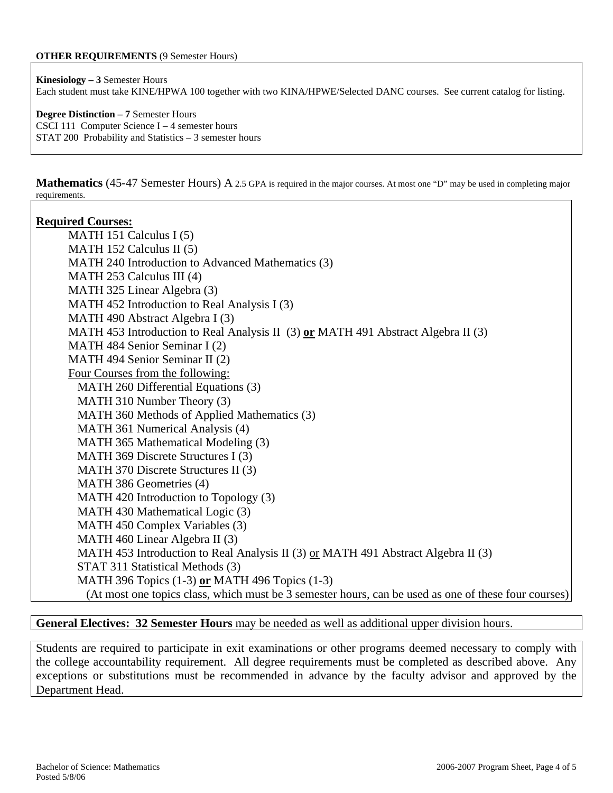### **OTHER REQUIREMENTS** (9 Semester Hours)

**Kinesiology – 3** Semester Hours Each student must take KINE/HPWA 100 together with two KINA/HPWE/Selected DANC courses. See current catalog for listing.

**Degree Distinction – 7** Semester Hours CSCI 111 Computer Science I – 4 semester hours STAT 200 Probability and Statistics – 3 semester hours

**Mathematics** (45-47 Semester Hours) A 2.5 GPA is required in the major courses. At most one "D" may be used in completing major requirements.

### **Required Courses:**

MATH 151 Calculus I (5) MATH 152 Calculus II (5) MATH 240 Introduction to Advanced Mathematics (3) MATH 253 Calculus III (4) MATH 325 Linear Algebra (3) MATH 452 Introduction to Real Analysis I (3) MATH 490 Abstract Algebra I (3) MATH 453 Introduction to Real Analysis II (3) **or** MATH 491 Abstract Algebra II (3) MATH 484 Senior Seminar I (2) MATH 494 Senior Seminar II (2) Four Courses from the following: MATH 260 Differential Equations (3) MATH 310 Number Theory (3) MATH 360 Methods of Applied Mathematics (3) MATH 361 Numerical Analysis (4) MATH 365 Mathematical Modeling (3) MATH 369 Discrete Structures I (3) MATH 370 Discrete Structures II (3) MATH 386 Geometries (4) MATH 420 Introduction to Topology (3) MATH 430 Mathematical Logic (3) MATH 450 Complex Variables (3) MATH 460 Linear Algebra II (3) MATH 453 Introduction to Real Analysis II (3) or MATH 491 Abstract Algebra II (3) STAT 311 Statistical Methods (3) MATH 396 Topics (1-3) **or** MATH 496 Topics (1-3) (At most one topics class, which must be 3 semester hours, can be used as one of these four courses)

**General Electives: 32 Semester Hours** may be needed as well as additional upper division hours.

Students are required to participate in exit examinations or other programs deemed necessary to comply with the college accountability requirement. All degree requirements must be completed as described above. Any exceptions or substitutions must be recommended in advance by the faculty advisor and approved by the Department Head.